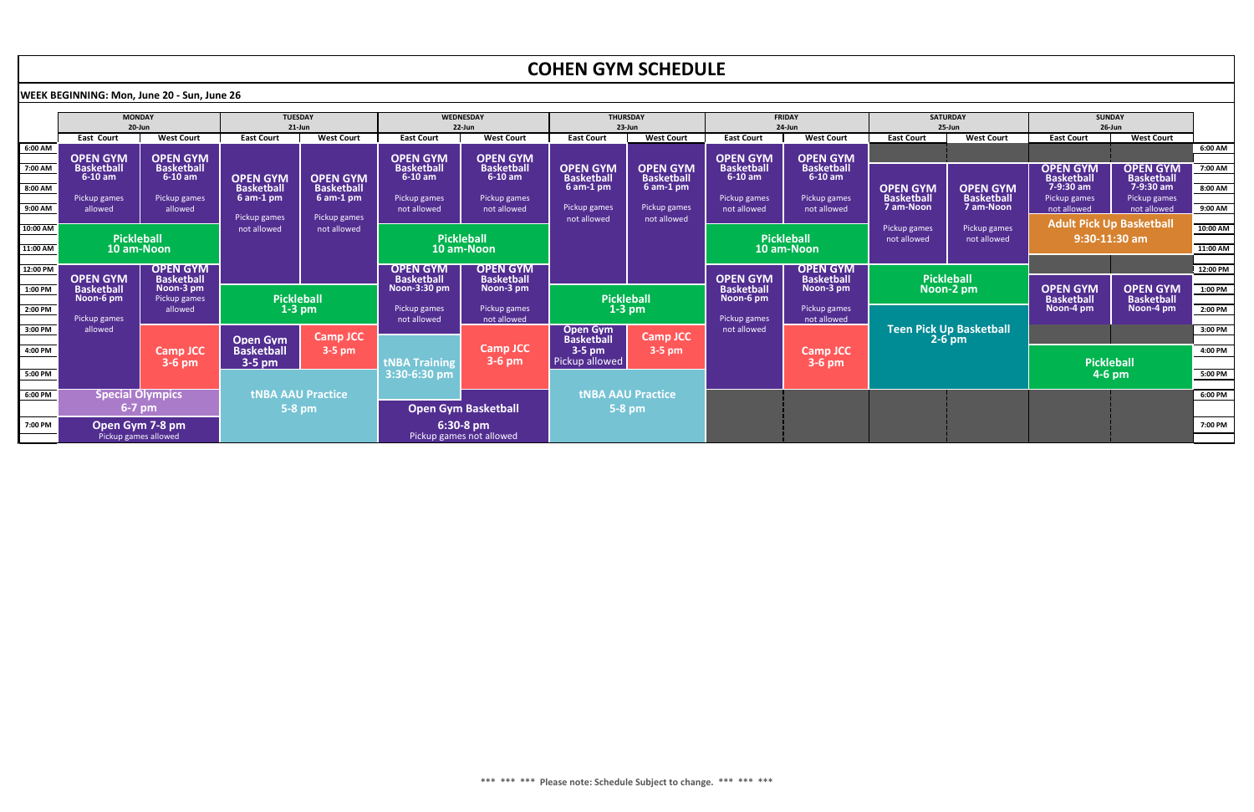|          |                                                    |                                |                                  |                                  |                                   |                                       | <b>COHEN GYM SCHEDULE</b>            |                                      |                                      |                                |                                                                               |                                            |                                      |                                      |           |
|----------|----------------------------------------------------|--------------------------------|----------------------------------|----------------------------------|-----------------------------------|---------------------------------------|--------------------------------------|--------------------------------------|--------------------------------------|--------------------------------|-------------------------------------------------------------------------------|--------------------------------------------|--------------------------------------|--------------------------------------|-----------|
|          | <b>NEEK BEGINNING: Mon, June 20 - Sun, June 26</b> |                                |                                  |                                  |                                   |                                       |                                      |                                      |                                      |                                |                                                                               |                                            |                                      |                                      |           |
|          | <b>MONDAY</b><br>$20$ -Jun                         |                                | <b>TUESDAY</b><br>$21$ -Jun      |                                  | <b>WEDNESDAY</b><br>22-Jun        |                                       | <b>THURSDAY</b><br>23-Jun            |                                      | <b>FRIDAY</b><br>$24$ -Jun           |                                | <b>SATURDAY</b><br>$25 - Jun$                                                 |                                            | <b>SUNDAY</b><br>$26$ -Jun           |                                      |           |
|          | <b>East Court</b>                                  | <b>West Court</b>              | <b>East Court</b>                | <b>West Court</b>                | <b>East Court</b>                 | <b>West Court</b>                     | <b>East Court</b>                    | <b>West Court</b>                    | <b>East Court</b>                    | <b>West Court</b>              | <b>East Court</b>                                                             | <b>West Court</b>                          | <b>East Court</b>                    | <b>West Court</b>                    |           |
| 6:00 AM  | <b>OPEN GYM</b>                                    | <b>OPEN GYM</b>                |                                  |                                  | <b>OPEN GYM</b>                   | <b>OPEN GYM</b>                       |                                      |                                      | <b>OPEN GYM</b>                      | <b>OPEN GYM</b>                |                                                                               |                                            |                                      |                                      | $6:00$ AM |
| 7:00 AM  | <b>Basketball</b><br>$6-10$ am                     | <b>Basketball</b><br>$6-10$ am | <b>OPEN GYM</b>                  | <b>OPEN GYM</b>                  | <b>Basketball</b><br>$6-10$ am    | <b>Basketball</b><br>$6-10$ am        | <b>OPEN GYM</b><br><b>Basketball</b> | <b>OPEN GYM</b><br><b>Basketball</b> | <b>Basketball</b><br>$6-10$ am       | <b>Basketball</b><br>$6-10$ am |                                                                               |                                            | <b>OPEN GYM</b><br><b>Basketball</b> | <b>OPEN GYM</b><br><b>Basketball</b> | 7:00 AM   |
| 8:00 AM  | Pickup games                                       | Pickup games                   | <b>Basketball</b><br>$6$ am-1 pm | <b>Basketball</b><br>$6$ am-1 pm | Pickup games                      | Pickup games                          | $6$ am-1 pm                          | $6$ am-1 pm                          | Pickup games                         | Pickup games                   | <b>OPEN GYM</b><br><b>Basketball</b>                                          | <b>OPEN GYM</b><br><b>Basketball</b>       | 7-9:30 am<br>Pickup games            | 7-9:30 am<br>Pickup games            | 8:00 AM   |
| 9:00 AM  | allowed                                            | allowed                        |                                  |                                  | not allowed                       | not allowed                           | Pickup games                         | Pickup games                         | not allowed                          | not allowed                    | 7 am-Noon                                                                     | <b>7 am-Noon</b>                           | not allowed                          | not allowed                          | $9:00$ AM |
|          |                                                    |                                | Pickup games                     | Pickup games                     |                                   |                                       | not allowed                          | not allowed                          |                                      |                                |                                                                               |                                            |                                      | <b>Adult Pick Up Basketball</b>      |           |
| 10:00 AM | <b>Pickleball</b>                                  |                                | not allowed                      | not allowed                      |                                   | <b>Pickleball</b>                     |                                      |                                      |                                      | <b>Pickleball</b>              | Pickup games<br>Pickup games<br>$9:30-11:30$ am<br>not allowed<br>not allowed |                                            |                                      | 10:00 AM                             |           |
| 11:00 AM |                                                    | <b>10 am-Noon</b>              |                                  |                                  |                                   | 10 am-Noon                            |                                      |                                      |                                      | 10 am-Noon                     |                                                                               |                                            |                                      |                                      | 11:00 AM  |
|          |                                                    |                                |                                  |                                  |                                   |                                       |                                      |                                      |                                      |                                |                                                                               |                                            |                                      |                                      |           |
| 12:00 PM |                                                    | <b>OPEN GYM</b>                |                                  |                                  | <b>OPEN GYM</b>                   | <b>OPEN GYM</b>                       |                                      |                                      |                                      | <b>OPEN GYM</b>                |                                                                               |                                            |                                      |                                      | 12:00 PM  |
| 1:00 PM  | <b>OPEN GYM</b><br><b>Basketball</b>               | <b>Basketball</b><br>Noon-3 pm |                                  |                                  | <b>Basketball</b><br>Noon-3:30 pm | <b>Basketball</b><br>Noon-3 pm        |                                      |                                      | <b>OPEN GYM</b><br><b>Basketball</b> | <b>Basketball</b><br>Noon-3 pm |                                                                               | <b>Pickleball</b>                          | <b>OPEN GYM</b>                      | <b>OPEN GYM</b>                      | $1:00$ PM |
|          | Noon-6 pm                                          | Pickup games                   |                                  | <b>Pickleball</b>                |                                   |                                       |                                      | <b>Pickleball</b>                    | Noon-6 pm                            |                                | Noon-2 pm                                                                     |                                            | <b>Basketball</b>                    | <b>Basketball</b>                    |           |
| 2:00 PM  |                                                    | allowed                        |                                  | $1-3$ pm                         | Pickup games                      | Pickup games                          |                                      | $1-3$ pm                             |                                      | Pickup games                   |                                                                               |                                            | Noon-4 pm                            | Noon-4 pm                            | $2:00$ PM |
|          | Pickup games                                       |                                |                                  |                                  | not allowed                       | not allowed                           |                                      |                                      | Pickup games                         | not allowed                    |                                                                               |                                            |                                      |                                      |           |
| 3:00 PM  | allowed                                            |                                | <b>Open Gym</b>                  | <b>Camp JCC</b>                  |                                   |                                       | <b>Open Gym</b><br><b>Basketball</b> | <b>Camp JCC</b>                      | not allowed                          |                                |                                                                               | <b>Teen Pick Up Basketball</b><br>$2-6$ pm |                                      |                                      | $3:00$ PM |
| 4:00 PM  |                                                    | <b>Camp JCC</b>                | <b>Basketball</b>                | $3-5$ pm                         |                                   | <b>Camp JCC</b>                       | $3-5$ pm                             | $3-5$ pm                             |                                      | <b>Camp JCC</b>                |                                                                               |                                            |                                      |                                      | 4:00 PM   |
|          |                                                    | $3-6$ pm                       | 3-5 pm                           |                                  | <b>tNBA Training</b>              | $3-6$ pm                              | Pickup allowed                       |                                      |                                      | $3-6$ pm                       |                                                                               |                                            |                                      | <b>Pickleball</b>                    |           |
| 5:00 PM  |                                                    |                                |                                  |                                  | 3:30-6:30 pm                      |                                       |                                      |                                      |                                      |                                |                                                                               |                                            | $4-6$ pm                             |                                      | $5:00$ PM |
|          |                                                    |                                |                                  |                                  |                                   |                                       |                                      |                                      |                                      |                                |                                                                               |                                            |                                      |                                      |           |
| 6:00 PM  | <b>Special Olympics</b>                            |                                |                                  | <b>tNBA AAU Practice</b>         |                                   |                                       |                                      | <b>tNBA AAU Practice</b>             |                                      |                                |                                                                               |                                            |                                      |                                      | $6:00$ PM |
|          | $6-7$ pm                                           |                                |                                  | $5-8$ pm                         |                                   | <b>Open Gym Basketball</b>            |                                      | $5-8$ pm                             |                                      |                                |                                                                               |                                            |                                      |                                      |           |
| 7:00 PM  | <b>Open Gym 7-8 pm</b><br>Pickup games allowed     |                                |                                  |                                  |                                   | 6:30-8 pm<br>Pickup games not allowed |                                      |                                      |                                      |                                |                                                                               |                                            |                                      | 7:00 PM                              |           |



## **COHEN CYSTS COLLERATION**